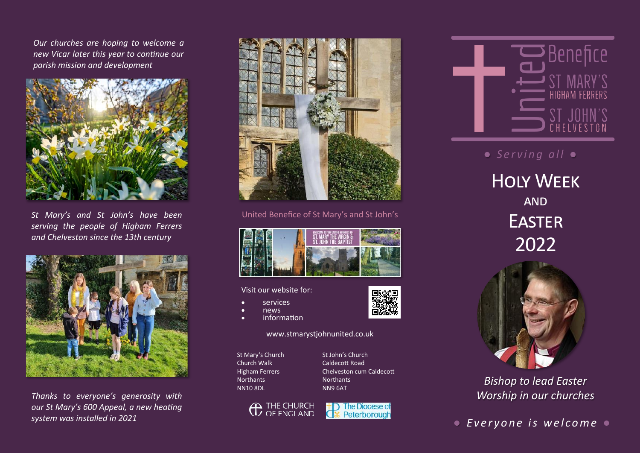*Our churches are hoping to welcome a new Vicar later this year to continue our parish mission and development* 



*St Mary's and St John's have been serving the people of Higham Ferrers and Chelveston since the 13th century*



*Thanks to everyone's generosity with our St Mary's 600 Appeal, a new heating system was installed in 2021*



United Benefice of St Mary's and St John's



Visit our website for:

- services
- news
- information

www.stmarystjohnunited.co.uk

St Mary's Church Church Walk Higham Ferrers Northants NN10 8DL

St John's Church Caldecott Road Chelveston cum Caldecott **Northants** NN9 6AT







**●** Serving all ●

Holy Week **AND EASTER** 2022



*Bishop to lead Easter Worship in our churches*

*● E v e r y o n e i s w e l c o m e ●*